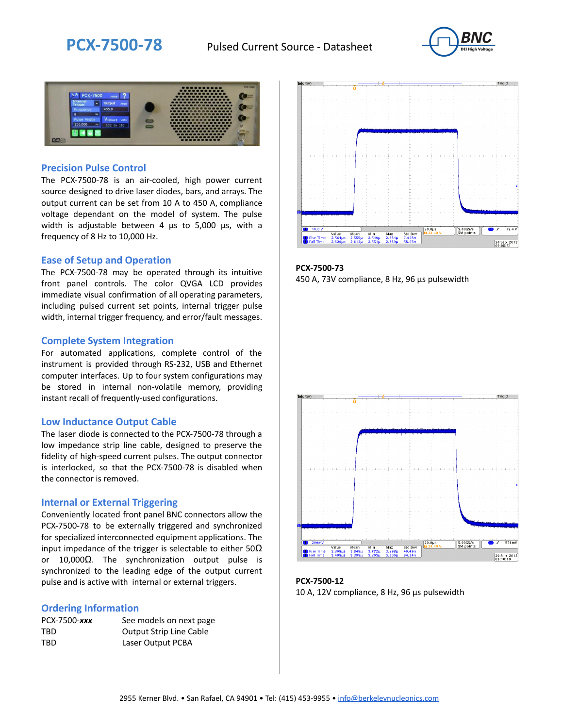



### **Precision Pulse Control**

The PCX-7500-78 is an air-cooled, high power current source designed to drive laser diodes, bars, and arrays. The output current can be set from 10 A to 450 A, compliance voltage dependant on the model of system. The pulse width is adjustable between 4 µs to 5,000 µs, with a frequency of 8 Hz to 10,000 Hz.

#### **Ease of Setup and Operation**

The PCX-7500-78 may be operated through its intuitive front panel controls. The color QVGA LCD provides immediate visual confirmation of all operating parameters, including pulsed current set points, internal trigger pulse width, internal trigger frequency, and error/fault messages.

#### **Complete System Integration**

For automated applications, complete control of the instrument is provided through RS-232, USB and Ethernet computer interfaces. Up to four system configurations may be stored in internal non-volatile memory, providing instant recall of frequently-used configurations.

#### **Low Inductance Output Cable**

The laser diode is connected to the PCX-7500-78 through a low impedance strip line cable, designed to preserve the fidelity of high-speed current pulses. The output connector is interlocked, so that the PCX-7500-78 is disabled when the connector is removed.

#### **Internal or External Triggering**

Conveniently located front panel BNC connectors allow the PCX-7500-78 to be externally triggered and synchronized for specialized interconnected equipment applications. The input impedance of the trigger is selectable to either  $50\Omega$ or 10,000Ω. The synchronization output pulse is synchronized to the leading edge of the output current pulse and is active with internal or external triggers.

#### **Ordering Information**

| PCX-7500-xxx | See models on next page        |
|--------------|--------------------------------|
| TBD          | <b>Output Strip Line Cable</b> |
| TBD          | Laser Output PCBA              |



**PCX-7500-73** 450 A, 73V compliance, 8 Hz, 96 µs pulsewidth



**PCX-7500-12** 10 A, 12V compliance, 8 Hz, 96 μs pulsewidth